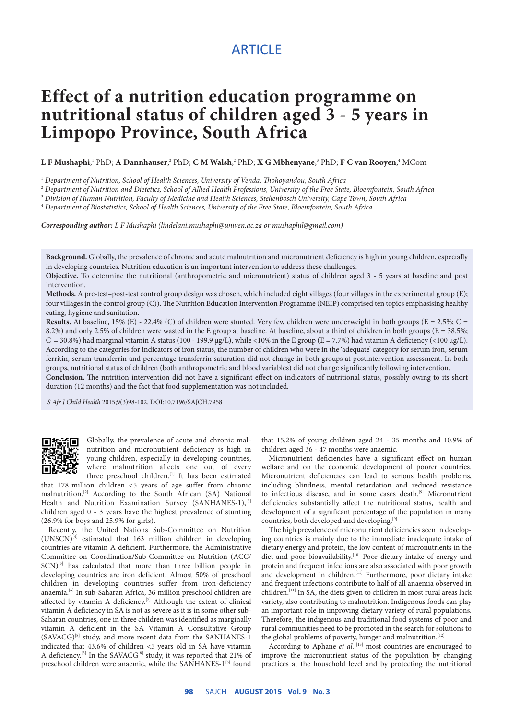# ARTICLE

# **Effect of a nutrition education programme on nutritional status of children aged 3 - 5 years in Limpopo Province, South Africa**

 ${\bf L}$  **F** Mushaphi,' PhD;  ${\bf A}$  Dannhauser, $^2$  PhD;  ${\bf C}$  M Walsh, $^2$  PhD;  ${\bf X}$  G Mbhenyane, $^3$  PhD;  ${\bf F}$  C van Rooyen, $^4$  MCom

1  *Department of Nutrition, School of Health Sciences, University of Venda, Thohoyandou, South Africa*

2  *Department of Nutrition and Dietetics, School of Allied Health Professions, University of the Free State, Bloemfontein, South Africa*

3  *Division of Human Nutrition, Faculty of Medicine and Health Sciences, Stellenbosch University, Cape Town, South Africa*

4  *Department of Biostatistics, School of Health Sciences, University of the Free State, Bloemfontein, South Africa*

*Corresponding author: L F Mushaphi (lindelani.mushaphi@univen.ac.za or mushaphil@gmail.com)* 

**Background.** Globally, the prevalence of chronic and acute malnutrition and micronutrient deficiency is high in young children, especially in developing countries. Nutrition education is an important intervention to address these challenges.

**Objective.** To determine the nutritional (anthropometric and micronutrient) status of children aged 3 - 5 years at baseline and post intervention.

**Methods.** A pre-test–post-test control group design was chosen, which included eight villages (four villages in the experimental group (E); four villages in the control group (C)). The Nutrition Education Intervention Programme (NEIP) comprised ten topics emphasising healthy eating, hygiene and sanitation.

**Results.** At baseline, 15% (E) - 22.4% (C) of children were stunted. Very few children were underweight in both groups (E = 2.5%; C = 8.2%) and only 2.5% of children were wasted in the E group at baseline. At baseline, about a third of children in both groups (E = 38.5%;  $C = 30.8\%$ ) had marginal vitamin A status (100 - 199.9 µg/L), while <10% in the E group (E = 7.7%) had vitamin A deficiency (<100 µg/L). According to the categories for indicators of iron status, the number of children who were in the 'adequate' category for serum iron, serum ferritin, serum transferrin and percentage transferrin saturation did not change in both groups at postintervention assessment. In both groups, nutritional status of children (both anthropometric and blood variables) did not change significantly following intervention.

**Conclusion.** The nutrition intervention did not have a significant effect on indicators of nutritional status, possibly owing to its short duration (12 months) and the fact that food supplementation was not included.

 *S Afr J Child Health* 2015;9(3)98-102. DOI:10.7196/SAJCH.7958



Globally, the prevalence of acute and chronic malnutrition and micronutrient deficiency is high in young children, especially in developing countries, where malnutrition affects one out of every three preschool children.<sup>[1]</sup> It has been estimated

that 178 million children <5 years of age suffer from chronic malnutrition.<sup>[2]</sup> According to the South African (SA) National Health and Nutrition Examination Survey (SANHANES-1),<sup>[3]</sup> children aged 0 - 3 years have the highest prevalence of stunting (26.9% for boys and 25.9% for girls).

Recently, the United Nations Sub-Committee on Nutrition  $(UNSCN)^{[4]}$  estimated that 163 million children in developing countries are vitamin A deficient. Furthermore, the Administrative Committee on Coordination/Sub-Committee on Nutrition (ACC/  $SCN$ <sup>[5]</sup> has calculated that more than three billion people in developing countries are iron deficient. Almost 50% of preschool children in developing countries suffer from iron-deficiency anaemia.[6] In sub-Saharan Africa, 36 million preschool children are affected by vitamin A deficiency.<sup>[7]</sup> Although the extent of clinical vitamin A deficiency in SA is not as severe as it is in some other sub-Saharan countries, one in three children was identified as marginally vitamin A deficient in the SA Vitamin A Consultative Group (SAVACG)[8] study, and more recent data from the SANHANES-1 indicated that 43.6% of children <5 years old in SA have vitamin A deficiency.<sup>[3]</sup> In the SAVACG<sup>[8]</sup> study, it was reported that 21% of preschool children were anaemic, while the SANHANES-1<sup>[3]</sup> found

that 15.2% of young children aged 24 - 35 months and 10.9% of children aged 36 - 47 months were anaemic.

Micronutrient deficiencies have a significant effect on human welfare and on the economic development of poorer countries. Micronutrient deficiencies can lead to serious health problems, including blindness, mental retardation and reduced resistance to infectious disease, and in some cases death.<sup>[9]</sup> Micronutrient deficiencies substantially affect the nutritional status, health and development of a significant percentage of the population in many countries, both developed and developing.<sup>[9]</sup>

The high prevalence of micronutrient deficiencies seen in developing countries is mainly due to the immediate inadequate intake of dietary energy and protein, the low content of micronutrients in the diet and poor bioavailability.<sup>[10]</sup> Poor dietary intake of energy and protein and frequent infections are also associated with poor growth and development in children.<sup>[11]</sup> Furthermore, poor dietary intake and frequent infections contribute to half of all anaemia observed in children.[11] In SA, the diets given to children in most rural areas lack variety, also contributing to malnutrition. Indigenous foods can play an important role in improving dietary variety of rural populations. Therefore, the indigenous and traditional food systems of poor and rural communities need to be promoted in the search for solutions to the global problems of poverty, hunger and malnutrition.<sup>[12]</sup>

According to Aphane *et al.*,<sup>[13]</sup> most countries are encouraged to improve the micronutrient status of the population by changing practices at the household level and by protecting the nutritional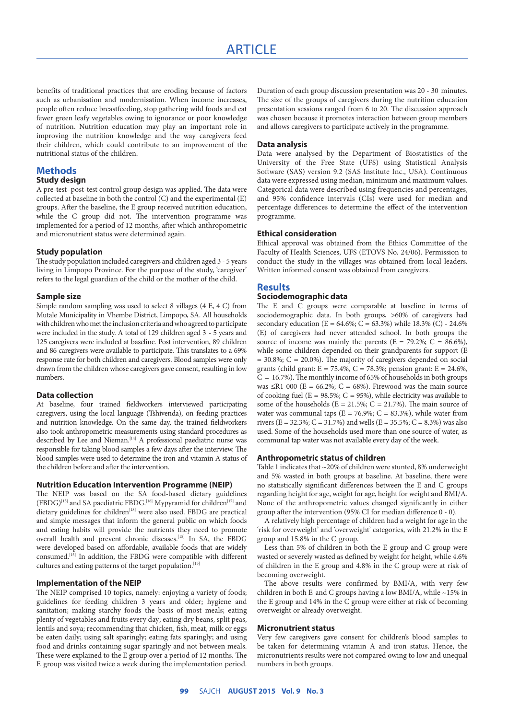# ARTICLE

benefits of traditional practices that are eroding because of factors such as urbanisation and modernisation. When income increases, people often reduce breastfeeding, stop gathering wild foods and eat fewer green leafy vegetables owing to ignorance or poor knowledge of nutrition. Nutrition education may play an important role in improving the nutrition knowledge and the way caregivers feed their children, which could contribute to an improvement of the nutritional status of the children.

# **Methods**

#### **Study design**

A pre-test–post-test control group design was applied. The data were collected at baseline in both the control (C) and the experimental (E) groups. After the baseline, the E group received nutrition education, while the C group did not. The intervention programme was implemented for a period of 12 months, after which anthropometric and micronutrient status were determined again.

#### **Study population**

The study population included caregivers and children aged 3 - 5 years living in Limpopo Province. For the purpose of the study, 'caregiver' refers to the legal guardian of the child or the mother of the child.

#### **Sample size**

Simple random sampling was used to select 8 villages (4 E, 4 C) from Mutale Municipality in Vhembe District, Limpopo, SA. All households with children who met the inclusion criteria and who agreed to participate were included in the study. A total of 129 children aged 3 - 5 years and 125 caregivers were included at baseline. Post intervention, 89 children and 86 caregivers were available to participate. This translates to a 69% response rate for both children and caregivers. Blood samples were only drawn from the children whose caregivers gave consent, resulting in low numbers.

#### **Data collection**

At baseline, four trained fieldworkers interviewed participating caregivers, using the local language (Tshivenda), on feeding practices and nutrition knowledge. On the same day, the trained fieldworkers also took anthropometric measurements using standard procedures as described by Lee and Nieman.<sup>[14]</sup> A professional paediatric nurse was responsible for taking blood samples a few days after the interview. The blood samples were used to determine the iron and vitamin A status of the children before and after the intervention.

#### **Nutrition Education Intervention Programme (NEIP)**

The NEIP was based on the SA food-based dietary guidelines (FBDG)<sup>[15]</sup> and SA paediatric FBDG.<sup>[16]</sup> Mypyramid for children<sup>[17]</sup> and dietary guidelines for children<sup>[18]</sup> were also used. FBDG are practical and simple messages that inform the general public on which foods and eating habits will provide the nutrients they need to promote overall health and prevent chronic diseases.<sup>[15]</sup> In SA, the FBDG were developed based on affordable, available foods that are widely consumed.[15] In addition, the FBDG were compatible with different cultures and eating patterns of the target population.<sup>[15]</sup>

## **Implementation of the NEIP**

The NEIP comprised 10 topics, namely: enjoying a variety of foods; guidelines for feeding children 3 years and older; hygiene and sanitation; making starchy foods the basis of most meals; eating plenty of vegetables and fruits every day; eating dry beans, split peas, lentils and soya; recommending that chicken, fish, meat, milk or eggs be eaten daily; using salt sparingly; eating fats sparingly; and using food and drinks containing sugar sparingly and not between meals. These were explained to the E group over a period of 12 months. The E group was visited twice a week during the implementation period.

Duration of each group discussion presentation was 20 - 30 minutes. The size of the groups of caregivers during the nutrition education presentation sessions ranged from 6 to 20. The discussion approach was chosen because it promotes interaction between group members and allows caregivers to participate actively in the programme.

#### **Data analysis**

Data were analysed by the Department of Biostatistics of the University of the Free State (UFS) using Statistical Analysis Software (SAS) version 9.2 (SAS Institute Inc., USA). Continuous data were expressed using median, minimum and maximum values. Categorical data were described using frequencies and percentages, and 95% confidence intervals (CIs) were used for median and percentage differences to determine the effect of the intervention programme.

#### **Ethical consideration**

Ethical approval was obtained from the Ethics Committee of the Faculty of Health Sciences, UFS (ETOVS No. 24/06). Permission to conduct the study in the villages was obtained from local leaders. Written informed consent was obtained from caregivers.

#### **Results**

#### **Sociodemographic data**

The E and C groups were comparable at baseline in terms of sociodemographic data. In both groups, >60% of caregivers had secondary education (E = 64.6%; C = 63.3%) while  $18.3\%$  (C) - 24.6% (E) of caregivers had never attended school. In both groups the source of income was mainly the parents ( $E = 79.2\%$ ;  $C = 86.6\%$ ), while some children depended on their grandparents for support (E = 30.8%; C = 20.0%). The majority of caregivers depended on social grants (child grant: E = 75.4%, C = 78.3%; pension grant: E = 24.6%,  $C = 16.7\%$ ). The monthly income of 65% of households in both groups was  $\leq$ R1 000 (E = 66.2%; C = 68%). Firewood was the main source of cooking fuel ( $E = 98.5\%$ ;  $C = 95\%$ ), while electricity was available to some of the households ( $E = 21.5\%$ ;  $C = 21.7\%$ ). The main source of water was communal taps ( $E = 76.9\%$ ;  $C = 83.3\%$ ), while water from rivers ( $E = 32.3\%$ ;  $C = 31.7\%$ ) and wells ( $E = 35.5\%$ ;  $C = 8.3\%$ ) was also used. Some of the households used more than one source of water, as communal tap water was not available every day of the week.

#### **Anthropometric status of children**

Table 1 indicates that ~20% of children were stunted, 8% underweight and 5% wasted in both groups at baseline. At baseline, there were no statistically significant differences between the E and C groups regarding height for age, weight for age, height for weight and BMI/A. None of the anthropometric values changed significantly in either group after the intervention (95% CI for median difference 0 - 0).

A relatively high percentage of children had a weight for age in the 'risk for overweight' and 'overweight' categories, with 21.2% in the E group and 15.8% in the C group.

Less than 5% of children in both the E group and C group were wasted or severely wasted as defined by weight for height, while 4.6% of children in the E group and 4.8% in the C group were at risk of becoming overweight.

The above results were confirmed by BMI/A, with very few children in both E and C groups having a low BMI/A, while ~15% in the E group and 14% in the C group were either at risk of becoming overweight or already overweight.

#### **Micronutrient status**

Very few caregivers gave consent for children's blood samples to be taken for determining vitamin A and iron status. Hence, the micronutrients results were not compared owing to low and unequal numbers in both groups.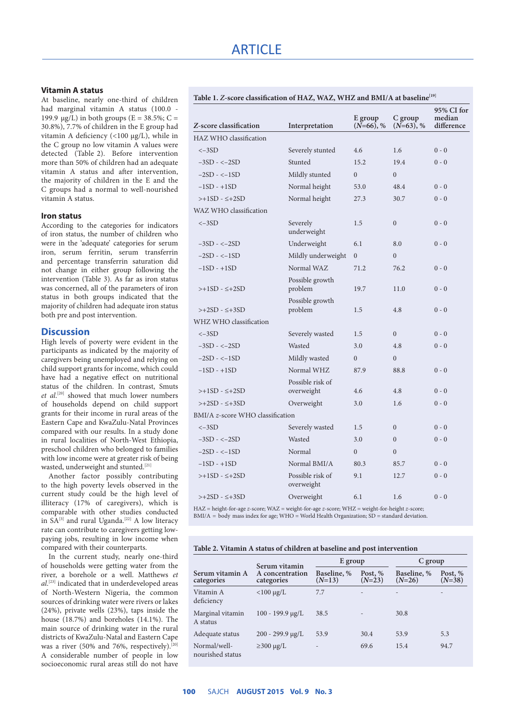## **Vitamin A status**

At baseline, nearly one-third of children had marginal vitamin A status (100.0 -199.9  $\mu$ g/L) in both groups (E = 38.5%; C = 30.8%), 7.7% of children in the E group had vitamin A deficiency (<100 µg/L), while in the C group no low vitamin A values were detected (Table 2). Before intervention more than 50% of children had an adequate vitamin A status and after intervention, the majority of children in the E and the C groups had a normal to well-nourished vitamin A status.

#### **Iron status**

According to the categories for indicators of iron status, the number of children who were in the 'adequate' categories for serum iron, serum ferritin, serum transferrin and percentage transferrin saturation did not change in either group following the intervention (Table 3). As far as iron status was concerned, all of the parameters of iron status in both groups indicated that the majority of children had adequate iron status both pre and post intervention.

## **Discussion**

High levels of poverty were evident in the participants as indicated by the majority of caregivers being unemployed and relying on child support grants for income, which could have had a negative effect on nutritional status of the children. In contrast, Smuts *et al*. [20] showed that much lower numbers of households depend on child support grants for their income in rural areas of the Eastern Cape and KwaZulu-Natal Provinces compared with our results. In a study done in rural localities of North-West Ethiopia, preschool children who belonged to families with low income were at greater risk of being wasted, underweight and stunted.<sup>[21]</sup>

Another factor possibly contributing to the high poverty levels observed in the current study could be the high level of illiteracy (17% of caregivers), which is comparable with other studies conducted in  $S_A^{[3]}$  and rural Uganda.<sup>[22]</sup> A low literacy rate can contribute to caregivers getting lowpaying jobs, resulting in low income when compared with their counterparts.

In the current study, nearly one-third of households were getting water from the river, a borehole or a well. Matthews *et al*. [23] indicated that in underdeveloped areas of North-Western Nigeria, the common sources of drinking water were rivers or lakes (24%), private wells (23%), taps inside the house (18.7%) and boreholes (14.1%). The main source of drinking water in the rural districts of KwaZulu-Natal and Eastern Cape was a river (50% and 76%, respectively).<sup>[20]</sup> A considerable number of people in low socioeconomic rural areas still do not have

| Table 1. Z-score classification of HAZ, WAZ, WHZ and BMI/A at baseline <sup>[19]</sup> |  |
|----------------------------------------------------------------------------------------|--|
|----------------------------------------------------------------------------------------|--|

| Z-score classification           | Interpretation                 | E group<br>$(N=66)$ , % | C group<br>$(N=63), %$ | 95% CI for<br>median<br>difference |
|----------------------------------|--------------------------------|-------------------------|------------------------|------------------------------------|
| HAZ WHO classification           |                                |                         |                        |                                    |
| $<-3SD$                          | Severely stunted               | 4.6                     | 1.6                    | $0 - 0$                            |
| $-3SD - < -2SD$                  | Stunted                        | 15.2                    | 19.4                   | $0 - 0$                            |
| $-2SD - < -1SD$                  | Mildly stunted                 | $\Omega$                | $\theta$               |                                    |
| $-1SD - +1SD$                    | Normal height                  | 53.0                    | 48.4                   | $0 - 0$                            |
| $>>1SD - <+2SD$                  | Normal height                  | 27.3                    | 30.7                   | $0 - 0$                            |
| WAZ WHO classification           |                                |                         |                        |                                    |
| $<-3SD$                          | Severely<br>underweight        | 1.5                     | $\overline{0}$         | $0 - 0$                            |
| $-3SD - < -2SD$                  | Underweight                    | 6.1                     | 8.0                    | $0 - 0$                            |
| $-2SD - < -1SD$                  | Mildly underweight             | $\overline{0}$          | $\theta$               |                                    |
| $-1SD - +1SD$                    | Normal WAZ                     | 71.2                    | 76.2                   | $0 - 0$                            |
| $\rightarrow$ +1SD - $\leq$ +2SD | Possible growth<br>problem     | 19.7                    | 11.0                   | $0 - 0$                            |
| $\rightarrow +2SD - \leq +3SD$   | Possible growth<br>problem     | 1.5                     | 4.8                    | $0 - 0$                            |
| WHZ WHO classification           |                                |                         |                        |                                    |
| $<-3SD$                          | Severely wasted                | 1.5                     | $\Omega$               | $0 - 0$                            |
| $-3SD - < -2SD$                  | Wasted                         | 3.0                     | 4.8                    | $0 - 0$                            |
| $-2SD - < -1SD$                  | Mildly wasted                  | $\overline{0}$          | $\theta$               |                                    |
| $-1SD - +1SD$                    | Normal WHZ                     | 87.9                    | 88.8                   | $0 - 0$                            |
| $\rightarrow$ +1SD - $\leq$ +2SD | Possible risk of<br>overweight | 4.6                     | 4.8                    | $0 - 0$                            |
| $\rightarrow +2SD - \leq +3SD$   | Overweight                     | 3.0                     | 1.6                    | $0 - 0$                            |
| BMI/A z-score WHO classification |                                |                         |                        |                                    |
| $<-3SD$                          | Severely wasted                | 1.5                     | $\theta$               | $0 - 0$                            |
| $-3SD - < -2SD$                  | Wasted                         | 3.0                     | $\theta$               | $0 - 0$                            |
| $-2SD - < -1SD$                  | Normal                         | $\Omega$                | $\theta$               |                                    |
| $-1SD - +1SD$                    | Normal BMI/A                   | 80.3                    | 85.7                   | $0 - 0$                            |
| $>>1SD - <+2SD$                  | Possible risk of<br>overweight | 9.1                     | 12.7                   | $0 - 0$                            |
| $\rightarrow +2SD - \leq +3SD$   | Overweight                     | 6.1                     | 1.6                    | $0 - 0$                            |

HAZ = height-for-age *z*-score; WAZ = weight-for-age *z*-score; WHZ = weight-for-height *z*-score;  $BMI/A =$  body mass index for age; WHO = World Health Organization;  $\overline{SD}$  = standard deviation.

#### **Table 2. Vitamin A status of children at baseline and post intervention**

| Serum vitamin A<br>categories    | Serum vitamin<br>A concentration<br>categories | E group                  |                          | $C$ group               |                     |
|----------------------------------|------------------------------------------------|--------------------------|--------------------------|-------------------------|---------------------|
|                                  |                                                | Baseline, %<br>$(N=13)$  | Post, %<br>$(N=23)$      | Baseline, %<br>$(N=26)$ | Post, %<br>$(N=38)$ |
| Vitamin A<br>deficiency          | $<$ 100 µg/L                                   | 7.7                      | ٠                        |                         |                     |
| Marginal vitamin<br>A status     | $100 - 199.9 \mu g/L$                          | 38.5                     | $\overline{\phantom{0}}$ | 30.8                    |                     |
| Adequate status                  | $200 - 299.9 \mu g/L$                          | 53.9                     | 30.4                     | 53.9                    | 5.3                 |
| Normal/well-<br>nourished status | $\geq$ 300 µg/L                                | $\overline{\phantom{0}}$ | 69.6                     | 15.4                    | 94.7                |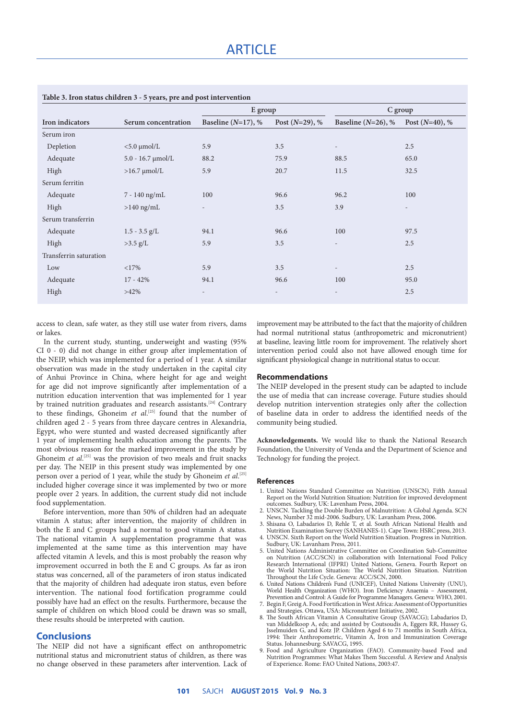| Iron indicators        |                          | E group                  |                          | $C$ group                |                   |
|------------------------|--------------------------|--------------------------|--------------------------|--------------------------|-------------------|
|                        | Serum concentration      | Baseline $(N=17)$ , %    | Post $(N=29)$ , %        | Baseline ( $N=26$ ), %   | Post $(N=40)$ , % |
| Serum iron             |                          |                          |                          |                          |                   |
| Depletion              | $< 5.0$ µmol/L           | 5.9                      | 3.5                      | $\overline{\phantom{a}}$ | 2.5               |
| Adequate               | $5.0 - 16.7$ $\mu$ mol/L | 88.2                     | 75.9                     | 88.5                     | 65.0              |
| High                   | $>16.7$ $\mu$ mol/L      | 5.9                      | 20.7                     | 11.5                     | 32.5              |
| Serum ferritin         |                          |                          |                          |                          |                   |
| Adequate               | 7 - 140 ng/mL            | 100                      | 96.6                     | 96.2                     | 100               |
| High                   | $>140$ ng/mL             | $\overline{\phantom{a}}$ | 3.5                      | 3.9                      | $\qquad \qquad -$ |
| Serum transferrin      |                          |                          |                          |                          |                   |
| Adequate               | $1.5 - 3.5$ g/L          | 94.1                     | 96.6                     | 100                      | 97.5              |
| High                   | $>3.5$ g/L               | 5.9                      | 3.5                      | $\overline{\phantom{a}}$ | 2.5               |
| Transferrin saturation |                          |                          |                          |                          |                   |
| Low                    | <17%                     | 5.9                      | 3.5                      | $\overline{\phantom{a}}$ | 2.5               |
| Adequate               | $17 - 42%$               | 94.1                     | 96.6                     | 100                      | 95.0              |
| High                   | $>42\%$                  | $\overline{\phantom{a}}$ | $\overline{\phantom{a}}$ | $\overline{\phantom{a}}$ | 2.5               |

access to clean, safe water, as they still use water from rivers, dams or lakes.

In the current study, stunting, underweight and wasting (95% CI 0 - 0) did not change in either group after implementation of the NEIP, which was implemented for a period of 1 year. A similar observation was made in the study undertaken in the capital city of Anhui Province in China, where height for age and weight for age did not improve significantly after implementation of a nutrition education intervention that was implemented for 1 year by trained nutrition graduates and research assistants.<sup>[24]</sup> Contrary to these findings, Ghoneim *et al.*<sup>[25]</sup> found that the number of children aged 2 - 5 years from three daycare centres in Alexandria, Egypt, who were stunted and wasted decreased significantly after 1 year of implementing health education among the parents. The most obvious reason for the marked improvement in the study by Ghoneim *et al.*<sup>[25]</sup> was the provision of two meals and fruit snacks per day. The NEIP in this present study was implemented by one person over a period of 1 year, while the study by Ghoneim *et al*. [25] included higher coverage since it was implemented by two or more people over 2 years. In addition, the current study did not include food supplementation.

Before intervention, more than 50% of children had an adequate vitamin A status; after intervention, the majority of children in both the E and C groups had a normal to good vitamin A status. The national vitamin A supplementation programme that was implemented at the same time as this intervention may have affected vitamin A levels, and this is most probably the reason why improvement occurred in both the E and C groups. As far as iron status was concerned, all of the parameters of iron status indicated that the majority of children had adequate iron status, even before intervention. The national food fortification programme could possibly have had an effect on the results. Furthermore, because the sample of children on which blood could be drawn was so small, these results should be interpreted with caution.

# **Conclusions**

The NEIP did not have a significant effect on anthropometric nutritional status and micronutrient status of children, as there was no change observed in these parameters after intervention. Lack of improvement may be attributed to the fact that the majority of children had normal nutritional status (anthropometric and micronutrient) at baseline, leaving little room for improvement. The relatively short intervention period could also not have allowed enough time for significant physiological change in nutritional status to occur.

#### **Recommendations**

The NEIP developed in the present study can be adapted to include the use of media that can increase coverage. Future studies should develop nutrition intervention strategies only after the collection of baseline data in order to address the identified needs of the community being studied.

**Acknowledgements.** We would like to thank the National Research Foundation, the University of Venda and the Department of Science and Technology for funding the project.

#### **References**

- 1. United Nations Standard Committee on Nutrition (UNSCN). Fifth Annual Report on the World Nutrition Situation: Nutrition for improved development
- outcomes. Sudbury, UK: Lavenham Press, 2004. 2. UNSCN. Tackling the Double Burden of Malnutrition: A Global Agenda. SCN News, Number 32 mid-2006. Sudbury, UK: Lavanham Press, 2006.
- 3. Shisana O, Labadarios D, Rehle T, et al. South African National Health and Nutrition Examination Survey (SANHANES-1). Cape Town: HSRC press, 2013. 4. UNSCN. Sixth Report on the World Nutrition Situation. Progress in Nutrition.
- Sudbury, UK: Lavanham Press, 2011. 5. United Nations Administrative Committee on Coordination Sub-Committee on Nutrition (ACC/SCN) in collaboration with International Food Policy
- Research International (IFPRI) United Nations, Geneva. Fourth Report on the World Nutrition Situation: The World Nutrition Situation. Nutrition Throughout the Life Cycle. Geneva: ACC/SCN, 2000.
- 6. United Nations Children's Fund (UNICEF), United Nations University (UNU), World Health Organization (WHO). Iron Deficiency Anaemia – Assessment, Prevention and Control: A Guide for Programme Managers. Geneva: WHO, 2001.
- 7. Begin F, Greig A. Food Fortification in West Africa: Assessment of Opportunities and Strategies. Ottawa, USA: Micronutrient Initiative, 2002.
- 8. The South African Vitamin A Consultative Group (SAVACG); Labadarios D, van Middelkoop A, eds; and assisted by Coutsoudis A, Eggers RR, Hussey G, Jsselmuiden G, and Kotz JP. Children Aged 6 to 71 months in South Africa, 1994: Their Anthropometric, Vitamin A, Iron and Immunization Coverage Status. Johannesburg: SAVACG, 1995.
- 9. Food and Agriculture Organization (FAO). Community-based Food and Nutrition Programmes: What Makes Them Successful. A Review and Analysis of Experience. Rome: FAO United Nations, 2003:47.